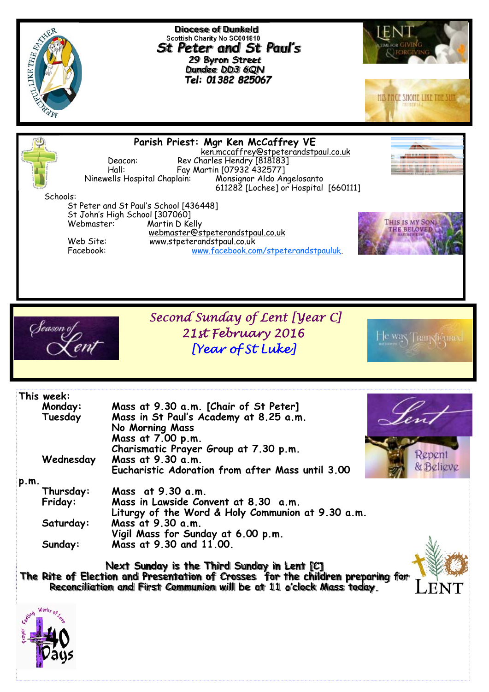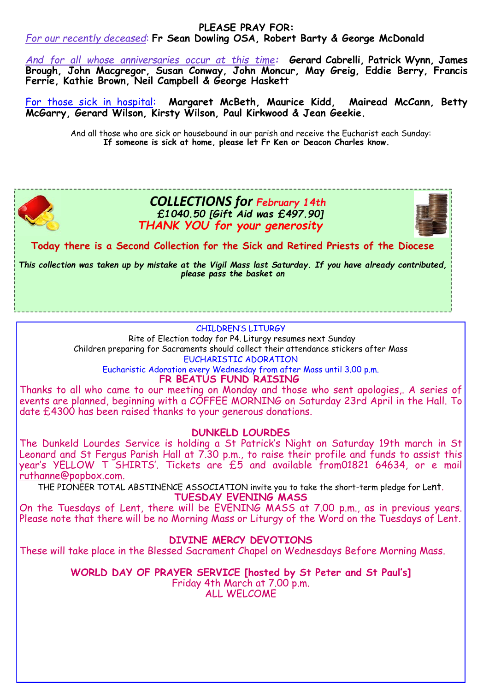#### **PLEASE PRAY FOR:**

## *For our recently deceased*: **Fr Sean Dowling OSA, Robert Barty & George McDonald**

*And for all whose anniversaries occur at this time:* **Gerard Cabrelli, Patrick Wynn, James Brough, John Macgregor, Susan Conway, John Moncur, May Greig, Eddie Berry, Francis Ferrie, Kathie Brown, Neil Campbell & George Haskett** 

For those sick in hospital: **Margaret McBeth, Maurice Kidd, Mairead McCann, Betty McGarry, Gerard Wilson, Kirsty Wilson, Paul Kirkwood & Jean Geekie.** 

> And all those who are sick or housebound in our parish and receive the Eucharist each Sunday: **If someone is sick at home, please let Fr Ken or Deacon Charles know.**



# *COLLECTIONS for February 14th £1040.50 [Gift Aid was £497.90] THANK YOU for your generosity*



**Today there is a Second Collection for the Sick and Retired Priests of the Diocese** 

*This collection was taken up by mistake at the Vigil Mass last Saturday. If you have already contributed, please pass the basket on* 

#### CHILDREN'S LITURGY

 Rite of Election today for P4. Liturgy resumes next Sunday Children preparing for Sacraments should collect their attendance stickers after Mass EUCHARISTIC ADORATION

Eucharistic Adoration every Wednesday from after Mass until 3.00 p.m. **FR BEATUS FUND RAISING** 

Thanks to all who came to our meeting on Monday and those who sent apologies,. A series of events are planned, beginning with a COFFEE MORNING on Saturday 23rd April in the Hall. To date £4300 has been raised thanks to your generous donations.

### **DUNKELD LOURDES**

The Dunkeld Lourdes Service is holding a St Patrick's Night on Saturday 19th march in St Leonard and St Fergus Parish Hall at 7.30 p.m., to raise their profile and funds to assist this year's YELLOW T SHIRTS'. Tickets are £5 and available from01821 64634, or e mail ruthanne@popbox.com.

THE PIONEER TOTAL ABSTINENCE ASSOCIATION invite you to take the short-term pledge for Lent.

**TUESDAY EVENING MASS** 

On the Tuesdays of Lent, there will be EVENING MASS at 7.00 p.m., as in previous years. Please note that there will be no Morning Mass or Liturgy of the Word on the Tuesdays of Lent.

### **DIVINE MERCY DEVOTIONS**

These will take place in the Blessed Sacrament Chapel on Wednesdays Before Morning Mass.

**WORLD DAY OF PRAYER SERVICE [hosted by St Peter and St Paul's]**  Friday 4th March at 7.00 p.m. ALL WELCOME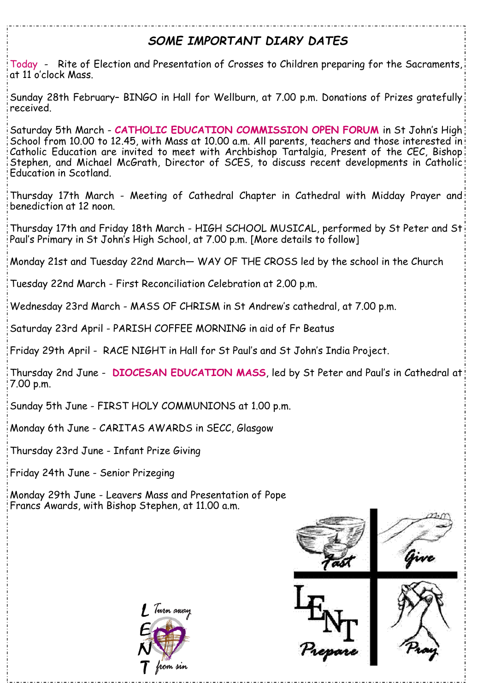# *SOME IMPORTANT DIARY DATES*

Today - Rite of Election and Presentation of Crosses to Children preparing for the Sacraments, at 11 o'clock Mass.

Sunday 28th February– BINGO in Hall for Wellburn, at 7.00 p.m. Donations of Prizes gratefully received.

Saturday 5th March - **CATHOLIC EDUCATION COMMISSION OPEN FORUM** in St John's High School from 10.00 to 12.45, with Mass at 10.00 a.m. All parents, teachers and those interested in Catholic Education are invited to meet with Archbishop Tartalgia, Present of the CEC, Bishop Stephen, and Michael McGrath, Director of SCES, to discuss recent developments in Catholic Education in Scotland.

Thursday 17th March - Meeting of Cathedral Chapter in Cathedral with Midday Prayer and benediction at 12 noon.

Thursday 17th and Friday 18th March - HIGH SCHOOL MUSICAL, performed by St Peter and St Paul's Primary in St John's High School, at 7.00 p.m. [More details to follow]

Monday 21st and Tuesday 22nd March— WAY OF THE CROSS led by the school in the Church

Tuesday 22nd March - First Reconciliation Celebration at 2.00 p.m.

Wednesday 23rd March - MASS OF CHRISM in St Andrew's cathedral, at 7.00 p.m.

Saturday 23rd April - PARISH COFFEE MORNING in aid of Fr Beatus

Friday 29th April - RACE NIGHT in Hall for St Paul's and St John's India Project.

Thursday 2nd June - **DIOCESAN EDUCATION MASS**, led by St Peter and Paul's in Cathedral at 7.00 p.m.

Sunday 5th June - FIRST HOLY COMMUNIONS at 1.00 p.m.

Monday 6th June - CARITAS AWARDS in SECC, Glasgow

Thursday 23rd June - Infant Prize Giving

Friday 24th June - Senior Prizeging

Monday 29th June - Leavers Mass and Presentation of Pope Francs Awards, with Bishop Stephen, at 11.00 a.m.